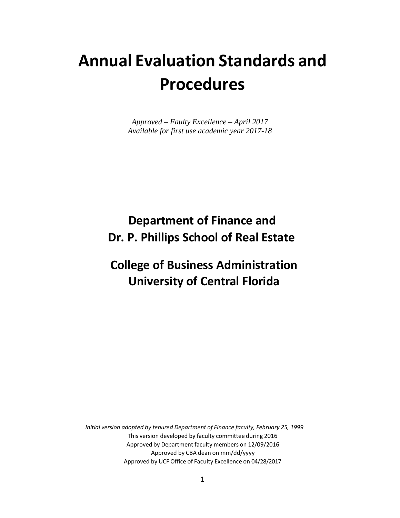# **Annual Evaluation Standards and Procedures**

*Approved – Faulty Excellence – April 2017 Available for first use academic year 2017-18*

## **Department of Finance and Dr. P. Phillips School of Real Estate**

## **College of Business Administration University of Central Florida**

*Initial version adopted by tenured Department of Finance faculty, February 25, 1999* This version developed by faculty committee during 2016 Approved by Department faculty members on 12/09/2016 Approved by CBA dean on mm/dd/yyyy Approved by UCF Office of Faculty Excellence on 04/28/2017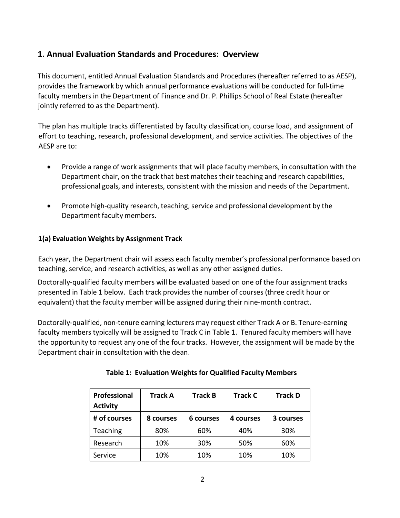### **1. Annual Evaluation Standards and Procedures: Overview**

This document, entitled Annual Evaluation Standards and Procedures (hereafter referred to as AESP), provides the framework by which annual performance evaluations will be conducted for full-time faculty members in the Department of Finance and Dr. P. Phillips School of Real Estate (hereafter jointly referred to as the Department).

The plan has multiple tracks differentiated by faculty classification, course load, and assignment of effort to teaching, research, professional development, and service activities. The objectives of the AESP are to:

- Provide a range of work assignments that will place faculty members, in consultation with the Department chair, on the track that best matches their teaching and research capabilities, professional goals, and interests, consistent with the mission and needs of the Department.
- Promote high-quality research, teaching, service and professional development by the Department faculty members.

### **1(a) Evaluation Weights by Assignment Track**

Each year, the Department chair will assess each faculty member's professional performance based on teaching, service, and research activities, as well as any other assigned duties.

Doctorally-qualified faculty members will be evaluated based on one of the four assignment tracks presented in Table 1 below. Each track provides the number of courses (three credit hour or equivalent) that the faculty member will be assigned during their nine-month contract.

Doctorally-qualified, non-tenure earning lecturers may request either Track A or B. Tenure-earning faculty members typically will be assigned to Track C in Table 1. Tenured faculty members will have the opportunity to request any one of the four tracks. However, the assignment will be made by the Department chair in consultation with the dean.

| Professional<br><b>Activity</b> | <b>Track A</b> | <b>Track B</b> | <b>Track C</b> | <b>Track D</b> |
|---------------------------------|----------------|----------------|----------------|----------------|
| # of courses                    | 8 courses      | 6 courses      | 4 courses      | 3 courses      |
| Teaching                        | 80%            | 60%            | 40%            | 30%            |
| Research                        | 10%            | 30%            | 50%            | 60%            |
| Service                         | 10%            | 10%            | 10%            | 10%            |

| <b>Table 1: Evaluation Weights for Qualified Faculty Members</b> |  |  |  |  |  |  |
|------------------------------------------------------------------|--|--|--|--|--|--|
|------------------------------------------------------------------|--|--|--|--|--|--|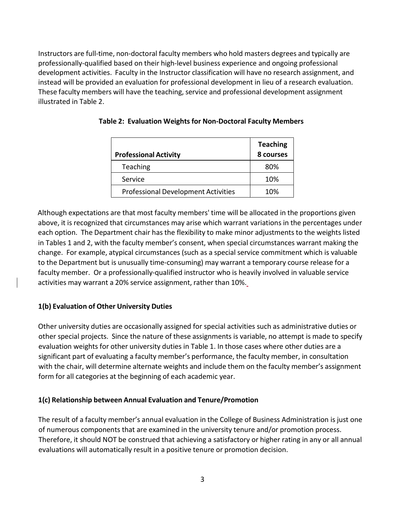Instructors are full-time, non-doctoral faculty members who hold masters degrees and typically are professionally-qualified based on their high-level business experience and ongoing professional development activities. Faculty in the Instructor classification will have no research assignment, and instead will be provided an evaluation for professional development in lieu of a research evaluation. These faculty members will have the teaching, service and professional development assignment illustrated in Table 2.

| <b>Professional Activity</b>               | <b>Teaching</b><br>8 courses |
|--------------------------------------------|------------------------------|
| Teaching                                   | 80%                          |
| Service                                    | 10%                          |
| <b>Professional Development Activities</b> | 10%                          |

### **Table 2: Evaluation Weights for Non-Doctoral Faculty Members**

Although expectations are that most faculty members' time will be allocated in the proportions given above, it is recognized that circumstances may arise which warrant variations in the percentages under each option. The Department chair has the flexibility to make minor adjustments to the weights listed in Tables 1 and 2, with the faculty member's consent, when special circumstances warrant making the change. For example, atypical circumstances (such as a special service commitment which is valuable to the Department but is unusually time-consuming) may warrant a temporary course release for a faculty member. Or a professionally-qualified instructor who is heavily involved in valuable service activities may warrant a 20% service assignment, rather than 10%.

### **1(b) Evaluation of Other University Duties**

Other university duties are occasionally assigned for special activities such as administrative duties or other special projects. Since the nature of these assignments is variable, no attempt is made to specify evaluation weights for other university duties in Table 1. In those cases where other duties are a significant part of evaluating a faculty member's performance, the faculty member, in consultation with the chair, will determine alternate weights and include them on the faculty member's assignment form for all categories at the beginning of each academic year.

### **1(c) Relationship between Annual Evaluation and Tenure/Promotion**

The result of a faculty member's annual evaluation in the College of Business Administration is just one of numerous components that are examined in the university tenure and/or promotion process. Therefore, it should NOT be construed that achieving a satisfactory or higher rating in any or all annual evaluations will automatically result in a positive tenure or promotion decision.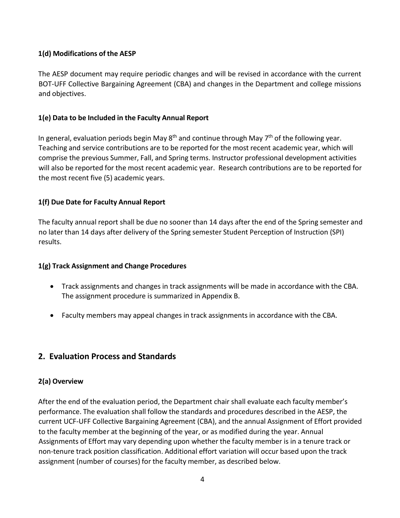### **1(d) Modifications of the AESP**

The AESP document may require periodic changes and will be revised in accordance with the current BOT-UFF Collective Bargaining Agreement (CBA) and changes in the Department and college missions and objectives.

### **1(e) Data to be Included in the Faculty Annual Report**

In general, evaluation periods begin May  $8<sup>th</sup>$  and continue through May  $7<sup>th</sup>$  of the following year. Teaching and service contributions are to be reported for the most recent academic year, which will comprise the previous Summer, Fall, and Spring terms. Instructor professional development activities will also be reported for the most recent academic year. Research contributions are to be reported for the most recent five (5) academic years.

### **1(f) Due Date for Faculty Annual Report**

The faculty annual report shall be due no sooner than 14 days after the end of the Spring semester and no later than 14 days after delivery of the Spring semester Student Perception of Instruction (SPI) results.

### **1(g) Track Assignment and Change Procedures**

- Track assignments and changes in track assignments will be made in accordance with the CBA. The assignment procedure is summarized in Appendix B.
- Faculty members may appeal changes in track assignments in accordance with the CBA.

### **2. Evaluation Process and Standards**

### **2(a) Overview**

After the end of the evaluation period, the Department chair shall evaluate each faculty member's performance. The evaluation shall follow the standards and procedures described in the AESP, the current UCF-UFF Collective Bargaining Agreement (CBA), and the annual Assignment of Effort provided to the faculty member at the beginning of the year, or as modified during the year. Annual Assignments of Effort may vary depending upon whether the faculty member is in a tenure track or non-tenure track position classification. Additional effort variation will occur based upon the track assignment (number of courses) for the faculty member, as described below.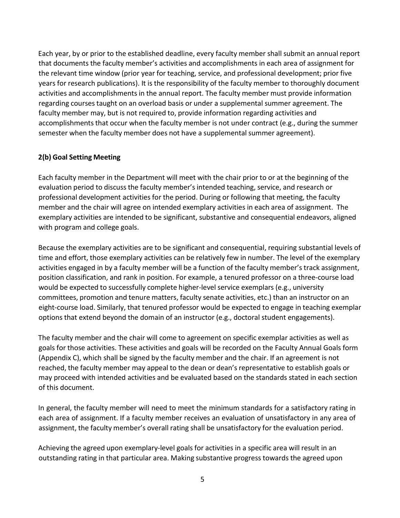Each year, by or prior to the established deadline, every faculty member shall submit an annual report that documents the faculty member's activities and accomplishments in each area of assignment for the relevant time window (prior year for teaching, service, and professional development; prior five years for research publications). It is the responsibility of the faculty member to thoroughly document activities and accomplishments in the annual report. The faculty member must provide information regarding coursestaught on an overload basis or under a supplemental summer agreement. The faculty member may, but is not required to, provide information regarding activities and accomplishments that occur when the faculty member is not under contract (e.g., during the summer semester when the faculty member does not have a supplemental summer agreement).

#### **2(b) Goal Setting Meeting**

Each faculty member in the Department will meet with the chair prior to or at the beginning of the evaluation period to discuss the faculty member's intended teaching, service, and research or professional development activities for the period. During or following that meeting, the faculty member and the chair will agree on intended exemplary activities in each area of assignment. The exemplary activities are intended to be significant, substantive and consequential endeavors, aligned with program and college goals.

Because the exemplary activities are to be significant and consequential, requiring substantial levels of time and effort, those exemplary activities can be relatively few in number. The level of the exemplary activities engaged in by a faculty member will be a function of the faculty member's track assignment, position classification, and rank in position. For example, a tenured professor on a three-course load would be expected to successfully complete higher-level service exemplars (e.g., university committees, promotion and tenure matters, faculty senate activities, etc.) than an instructor on an eight-course load. Similarly, that tenured professor would be expected to engage in teaching exemplar options that extend beyond the domain of an instructor (e.g., doctoral student engagements).

The faculty member and the chair will come to agreement on specific exemplar activities as well as goals for those activities. These activities and goals will be recorded on the Faculty Annual Goals form (Appendix C), which shall be signed by the faculty member and the chair. If an agreement is not reached, the faculty member may appeal to the dean or dean's representative to establish goals or may proceed with intended activities and be evaluated based on the standards stated in each section of this document.

In general, the faculty member will need to meet the minimum standards for a satisfactory rating in each area of assignment. If a faculty member receives an evaluation of unsatisfactory in any area of assignment, the faculty member's overall rating shall be unsatisfactory for the evaluation period.

Achieving the agreed upon exemplary-level goals for activities in a specific area will result in an outstanding rating in that particular area. Making substantive progress towards the agreed upon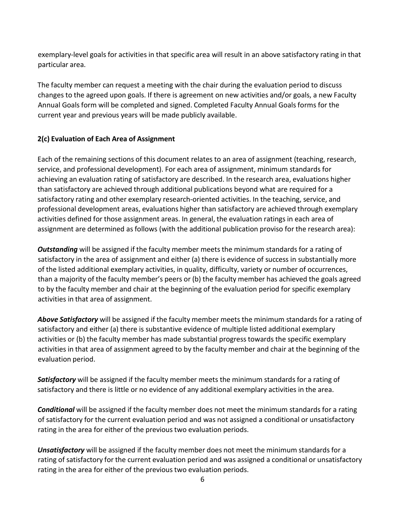exemplary-level goals for activities in that specific area will result in an above satisfactory rating in that particular area.

The faculty member can request a meeting with the chair during the evaluation period to discuss changes to the agreed upon goals. If there is agreement on new activities and/or goals, a new Faculty Annual Goals form will be completed and signed. Completed Faculty Annual Goals forms for the current year and previous years will be made publicly available.

### **2(c) Evaluation of Each Area of Assignment**

Each of the remaining sections of this document relates to an area of assignment (teaching, research, service, and professional development). For each area of assignment, minimum standards for achieving an evaluation rating of satisfactory are described. In the research area, evaluations higher than satisfactory are achieved through additional publications beyond what are required for a satisfactory rating and other exemplary research-oriented activities. In the teaching, service, and professional development areas, evaluations higher than satisfactory are achieved through exemplary activities defined for those assignment areas. In general, the evaluation ratings in each area of assignment are determined as follows (with the additional publication proviso for the research area):

*Outstanding* will be assigned if the faculty member meets the minimum standards for a rating of satisfactory in the area of assignment and either (a) there is evidence of success in substantially more of the listed additional exemplary activities, in quality, difficulty, variety or number of occurrences, than a majority of the faculty member's peers or (b) the faculty member has achieved the goals agreed to by the faculty member and chair at the beginning of the evaluation period for specific exemplary activities in that area of assignment.

*Above Satisfactory* will be assigned if the faculty member meets the minimum standards for a rating of satisfactory and either (a) there is substantive evidence of multiple listed additional exemplary activities or (b) the faculty member has made substantial progresstowards the specific exemplary activities in that area of assignment agreed to by the faculty member and chair at the beginning of the evaluation period.

*Satisfactory* will be assigned if the faculty member meets the minimum standards for a rating of satisfactory and there is little or no evidence of any additional exemplary activities in the area.

*Conditional* will be assigned if the faculty member does not meet the minimum standards for a rating of satisfactory for the current evaluation period and was not assigned a conditional or unsatisfactory rating in the area for either of the previous two evaluation periods.

*Unsatisfactory* will be assigned if the faculty member does not meet the minimum standards for a rating of satisfactory for the current evaluation period and was assigned a conditional or unsatisfactory rating in the area for either of the previous two evaluation periods.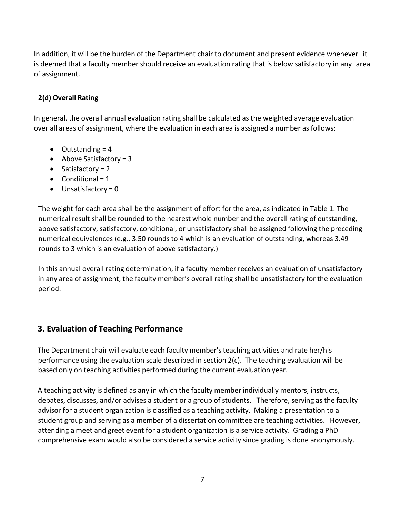In addition, it will be the burden of the Department chair to document and present evidence whenever it is deemed that a faculty member should receive an evaluation rating that is below satisfactory in any area of assignment.

### **2(d) Overall Rating**

In general, the overall annual evaluation rating shall be calculated as the weighted average evaluation over all areas of assignment, where the evaluation in each area is assigned a number as follows:

- $\bullet$  Outstanding = 4
- Above Satisfactory =  $3$
- Satisfactory = 2
- Conditional =  $1$
- $\bullet$  Unsatisfactory = 0

The weight for each area shall be the assignment of effort for the area, as indicated in Table 1. The numerical result shall be rounded to the nearest whole number and the overall rating of outstanding, above satisfactory, satisfactory, conditional, or unsatisfactory shall be assigned following the preceding numerical equivalences (e.g., 3.50 rounds to 4 which is an evaluation of outstanding, whereas 3.49 rounds to 3 which is an evaluation of above satisfactory.)

In this annual overall rating determination, if a faculty member receives an evaluation of unsatisfactory in any area of assignment, the faculty member's overall rating shall be unsatisfactory for the evaluation period.

### **3. Evaluation of Teaching Performance**

The Department chair will evaluate each faculty member'steaching activities and rate her/his performance using the evaluation scale described in section 2(c). The teaching evaluation will be based only on teaching activities performed during the current evaluation year.

A teaching activity is defined as any in which the faculty member individually mentors, instructs, debates, discusses, and/or advises a student or a group of students. Therefore, serving as the faculty advisor for a student organization is classified as a teaching activity. Making a presentation to a student group and serving as a member of a dissertation committee are teaching activities. However, attending a meet and greet event for a student organization is a service activity. Grading a PhD comprehensive exam would also be considered a service activity since grading is done anonymously.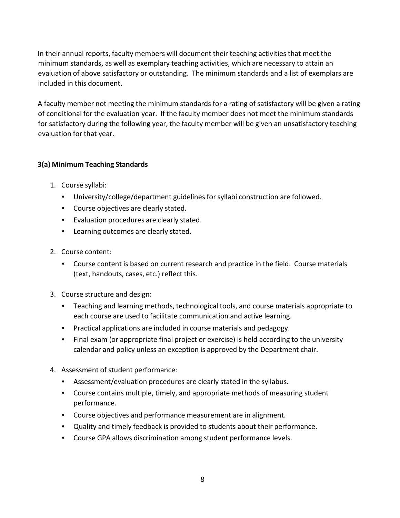In their annual reports, faculty members will document their teaching activities that meet the minimum standards, as well as exemplary teaching activities, which are necessary to attain an evaluation of above satisfactory or outstanding. The minimum standards and a list of exemplars are included in this document.

A faculty member not meeting the minimum standards for a rating of satisfactory will be given a rating of conditional for the evaluation year. If the faculty member does not meet the minimum standards for satisfactory during the following year, the faculty member will be given an unsatisfactory teaching evaluation for that year.

### **3(a) Minimum Teaching Standards**

- 1. Course syllabi:
	- University/college/department guidelines for syllabi construction are followed.
	- Course objectives are clearly stated.
	- Evaluation procedures are clearly stated.
	- Learning outcomes are clearly stated.
- 2. Course content:
	- Course content is based on current research and practice in the field. Course materials (text, handouts, cases, etc.) reflect this.
- 3. Course structure and design:
	- Teaching and learning methods, technological tools, and course materials appropriate to each course are used to facilitate communication and active learning.
	- Practical applications are included in course materials and pedagogy.
	- Final exam (or appropriate final project or exercise) is held according to the university calendar and policy unless an exception is approved by the Department chair.
- 4. Assessment of student performance:
	- Assessment/evaluation procedures are clearly stated in the syllabus.
	- Course contains multiple, timely, and appropriate methods of measuring student performance.
	- Course objectives and performance measurement are in alignment.
	- Quality and timely feedback is provided to students about their performance.
	- Course GPA allows discrimination among student performance levels.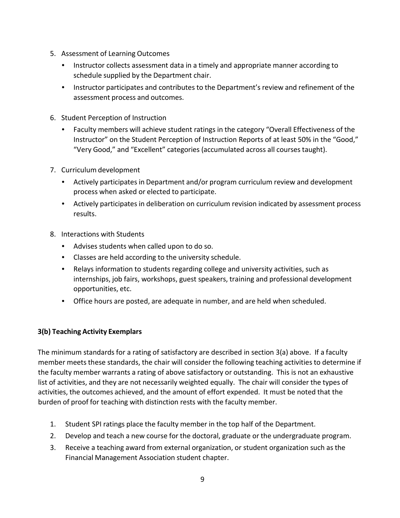- 5. Assessment of Learning Outcomes
	- Instructor collects assessment data in a timely and appropriate manner according to schedule supplied by the Department chair.
	- Instructor participates and contributes to the Department's review and refinement of the assessment process and outcomes.
- 6. Student Perception of Instruction
	- Faculty members will achieve student ratings in the category "Overall Effectiveness of the Instructor" on the Student Perception of Instruction Reports of at least 50% in the "Good," "Very Good," and "Excellent" categories (accumulated across all coursestaught).
- 7. Curriculum development
	- Actively participates in Department and/or program curriculum review and development process when asked or elected to participate.
	- Actively participates in deliberation on curriculum revision indicated by assessment process results.
- 8. Interactions with Students
	- Advises students when called upon to do so.
	- Classes are held according to the university schedule.
	- Relays information to students regarding college and university activities, such as internships, job fairs, workshops, guest speakers, training and professional development opportunities, etc.
	- Office hours are posted, are adequate in number, and are held when scheduled.

### **3(b) Teaching Activity Exemplars**

The minimum standards for a rating of satisfactory are described in section 3(a) above. If a faculty member meets these standards, the chair will consider the following teaching activities to determine if the faculty member warrants a rating of above satisfactory or outstanding. This is not an exhaustive list of activities, and they are not necessarily weighted equally. The chair will consider the types of activities, the outcomes achieved, and the amount of effort expended. It must be noted that the burden of proof for teaching with distinction rests with the faculty member.

- 1. Student SPI ratings place the faculty member in the top half of the Department.
- 2. Develop and teach a new course for the doctoral, graduate or the undergraduate program.
- 3. Receive a teaching award from external organization, or student organization such as the Financial Management Association student chapter.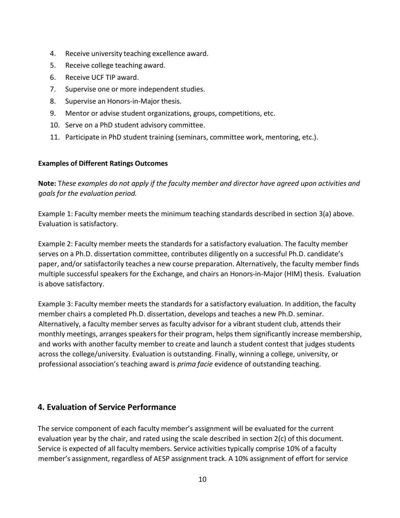- 4. Receive university teaching excellence award.
- 5. Receive college teaching award.
- 6. Receive UCF TIP award.
- 7. Supervise one or more independent studies.
- 8. Supervise an Honors-in-Major thesis.
- 9. Mentor or advise student organizations, groups, competitions, etc.
- 10. Serve on a PhD student advisory committee.
- 11. Participate in PhD student training (seminars, committee work, mentoring, etc.).

#### **Examples of Different Ratings Outcomes**

**Note:** T*hese examples do not apply if the faculty member and director have agreed upon activities and goals for the evaluation period.*

Example 1: Faculty member meets the minimum teaching standards described in section 3(a) above. Evaluation is satisfactory.

Example 2: Faculty member meets the standards for a satisfactory evaluation. The faculty member serves on a Ph.D. dissertation committee, contributes diligently on a successful Ph.D. candidate's paper, and/or satisfactorily teaches a new course preparation. Alternatively, the faculty member finds multiple successful speakers for the Exchange, and chairs an Honors-in-Major (HIM) thesis. Evaluation is above satisfactory.

Example 3: Faculty member meets the standards for a satisfactory evaluation. In addition, the faculty member chairs a completed Ph.D. dissertation, develops and teaches a new Ph.D. seminar. Alternatively, a faculty member serves as faculty advisor for a vibrant student club, attends their monthly meetings, arranges speakers for their program, helps them significantly increase membership, and works with another faculty member to create and launch a student contest that judges students across the college/university. Evaluation is outstanding. Finally, winning a college, university, or professional association's teaching award is *prima facie* evidence of outstanding teaching.

### **4. Evaluation of Service Performance**

The service component of each faculty member's assignment will be evaluated for the current evaluation year by the chair, and rated using the scale described in section 2(c) of this document. Service is expected of all faculty members. Service activities typically comprise 10% of a faculty member's assignment, regardless of AESP assignment track. A 10% assignment of effort for service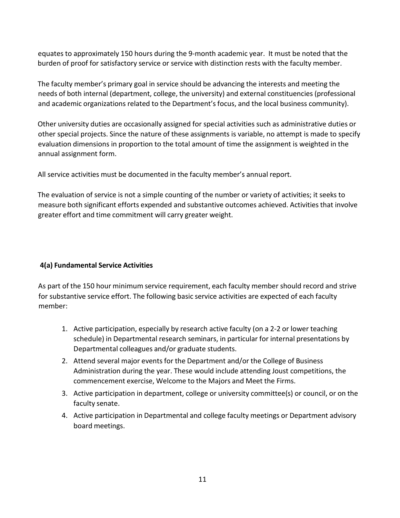equates to approximately 150 hours during the 9-month academic year. It must be noted that the burden of proof for satisfactory service or service with distinction rests with the faculty member.

The faculty member's primary goal in service should be advancing the interests and meeting the needs of both internal (department, college, the university) and external constituencies (professional and academic organizations related to the Department's focus, and the local business community).

Other university duties are occasionally assigned for special activities such as administrative duties or other special projects. Since the nature of these assignments is variable, no attempt is made to specify evaluation dimensions in proportion to the total amount of time the assignment is weighted in the annual assignment form.

All service activities must be documented in the faculty member's annual report.

The evaluation of service is not a simple counting of the number or variety of activities; it seeks to measure both significant efforts expended and substantive outcomes achieved. Activities that involve greater effort and time commitment will carry greater weight.

### **4(a) Fundamental Service Activities**

As part of the 150 hour minimum service requirement, each faculty member should record and strive for substantive service effort. The following basic service activities are expected of each faculty member:

- 1. Active participation, especially by research active faculty (on a 2-2 or lower teaching schedule) in Departmental research seminars, in particular for internal presentations by Departmental colleagues and/or graduate students.
- 2. Attend several major events for the Department and/or the College of Business Administration during the year. These would include attending Joust competitions, the commencement exercise, Welcome to the Majors and Meet the Firms.
- 3. Active participation in department, college or university committee(s) or council, or on the faculty senate.
- 4. Active participation in Departmental and college faculty meetings or Department advisory board meetings.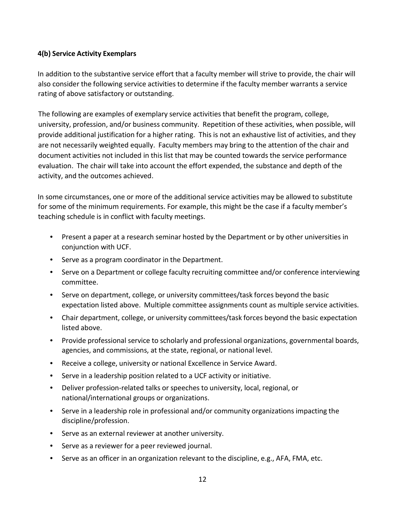#### **4(b) Service Activity Exemplars**

In addition to the substantive service effort that a faculty member will strive to provide, the chair will also consider the following service activities to determine if the faculty member warrants a service rating of above satisfactory or outstanding.

The following are examples of exemplary service activities that benefit the program, college, university, profession, and/or business community. Repetition of these activities, when possible, will provide additional justification for a higher rating. This is not an exhaustive list of activities, and they are not necessarily weighted equally. Faculty members may bring to the attention of the chair and document activities not included in this list that may be counted towards the service performance evaluation. The chair will take into account the effort expended, the substance and depth of the activity, and the outcomes achieved.

In some circumstances, one or more of the additional service activities may be allowed to substitute for some of the minimum requirements. For example, this might be the case if a faculty member's teaching schedule is in conflict with faculty meetings.

- Present a paper at a research seminar hosted by the Department or by other universities in conjunction with UCF.
- Serve as a program coordinator in the Department.
- Serve on a Department or college faculty recruiting committee and/or conference interviewing committee.
- Serve on department, college, or university committees/task forces beyond the basic expectation listed above. Multiple committee assignments count as multiple service activities.
- Chair department, college, or university committees/task forces beyond the basic expectation listed above.
- Provide professional service to scholarly and professional organizations, governmental boards, agencies, and commissions, at the state, regional, or national level.
- Receive a college, university or national Excellence in Service Award.
- Serve in a leadership position related to a UCF activity or initiative.
- Deliver profession-related talks or speeches to university, local, regional, or national/international groups or organizations.
- Serve in a leadership role in professional and/or community organizations impacting the discipline/profession.
- Serve as an external reviewer at another university.
- Serve as a reviewer for a peer reviewed journal.
- Serve as an officer in an organization relevant to the discipline, e.g., AFA, FMA, etc.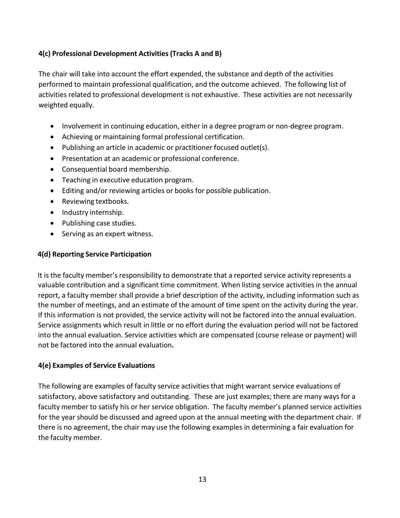### **4(c) Professional Development Activities (Tracks A and B)**

The chair will take into account the effort expended, the substance and depth of the activities performed to maintain professional qualification, and the outcome achieved. The following list of activities related to professional development is not exhaustive. These activities are not necessarily weighted equally.

- Involvement in continuing education, either in a degree program or non-degree program.
- Achieving or maintaining formal professional certification.
- Publishing an article in academic or practitioner focused outlet(s).
- Presentation at an academic or professional conference.
- Consequential board membership.
- Teaching in executive education program.
- Editing and/or reviewing articles or books for possible publication.
- Reviewing textbooks.
- Industry internship.
- Publishing case studies.
- Serving as an expert witness.

#### **4(d) Reporting Service Participation**

It is the faculty member's responsibility to demonstrate that a reported service activity represents a valuable contribution and a significant time commitment. When listing service activities in the annual report, a faculty member shall provide a brief description of the activity, including information such as the number of meetings, and an estimate of the amount of time spent on the activity during the year. If this information is not provided, the service activity will not be factored into the annual evaluation. Service assignments which result in little or no effort during the evaluation period will not be factored into the annual evaluation. Service activities which are compensated (course release or payment) will not be factored into the annual evaluation**.**

### **4(e) Examples of Service Evaluations**

The following are examples of faculty service activities that might warrant service evaluations of satisfactory, above satisfactory and outstanding. These are just examples; there are many ways for a faculty member to satisfy his or her service obligation. The faculty member's planned service activities for the year should be discussed and agreed upon at the annual meeting with the department chair. If there is no agreement, the chair may use the following examples in determining a fair evaluation for the faculty member.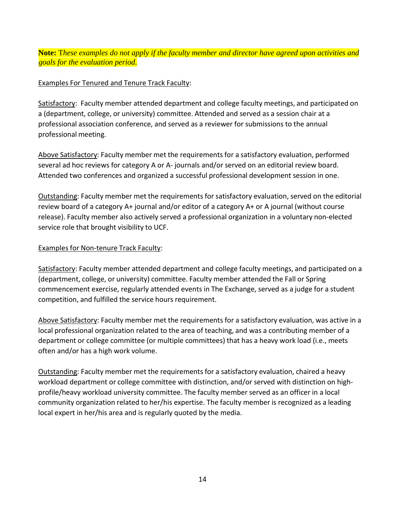**Note:** T*hese examples do not apply if the faculty member and director have agreed upon activities and goals for the evaluation period.*

### Examples For Tenured and Tenure Track Faculty:

Satisfactory: Faculty member attended department and college faculty meetings, and participated on a (department, college, or university) committee. Attended and served as a session chair at a professional association conference, and served as a reviewer for submissions to the annual professional meeting.

Above Satisfactory: Faculty member met the requirementsfor a satisfactory evaluation, performed several ad hoc reviews for category A or A- journals and/or served on an editorial review board. Attended two conferences and organized a successful professional development session in one.

Outstanding: Faculty member met the requirements for satisfactory evaluation, served on the editorial review board of a category A+ journal and/or editor of a category A+ or A journal (without course release). Faculty member also actively served a professional organization in a voluntary non-elected service role that brought visibility to UCF.

### Examples for Non-tenure Track Faculty:

Satisfactory: Faculty member attended department and college faculty meetings, and participated on a (department, college, or university) committee. Faculty member attended the Fall or Spring commencement exercise, regularly attended events in The Exchange, served as a judge for a student competition, and fulfilled the service hours requirement.

Above Satisfactory: Faculty member met the requirements for a satisfactory evaluation, was active in a local professional organization related to the area of teaching, and was a contributing member of a department or college committee (or multiple committees) that has a heavy work load (i.e., meets often and/or has a high work volume.

Outstanding: Faculty member met the requirements for a satisfactory evaluation, chaired a heavy workload department or college committee with distinction, and/or served with distinction on highprofile/heavy workload university committee. The faculty member served as an officer in a local community organization related to her/his expertise. The faculty member is recognized as a leading local expert in her/his area and is regularly quoted by the media.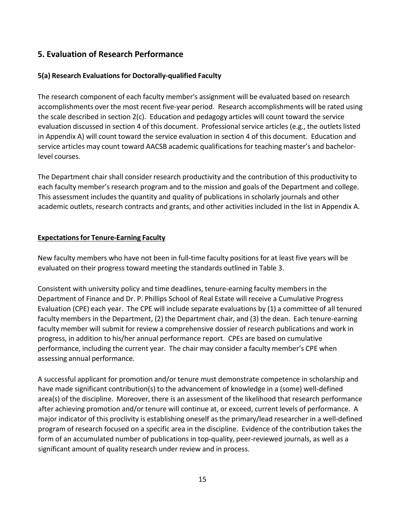### **5. Evaluation of Research Performance**

### **5(a) Research Evaluationsfor Doctorally-qualified Faculty**

The research component of each faculty member's assignment will be evaluated based on research accomplishments over the most recent five-year period. Research accomplishments will be rated using the scale described in section 2(c). Education and pedagogy articles will count toward the service evaluation discussed in section 4 of this document. Professional service articles (e.g., the outlets listed in Appendix A) will count toward the service evaluation in section 4 of this document. Education and service articles may count toward AACSB academic qualificationsfor teaching master's and bachelorlevel courses.

The Department chair shall consider research productivity and the contribution of this productivity to each faculty member's research program and to the mission and goals of the Department and college. This assessment includes the quantity and quality of publications in scholarly journals and other academic outlets, research contracts and grants, and other activities included in the list in Appendix A.

#### **Expectationsfor Tenure-Earning Faculty**

New faculty members who have not been in full-time faculty positions for at least five years will be evaluated on their progress toward meeting the standards outlined in Table 3.

Consistent with university policy and time deadlines, tenure-earning faculty members in the Department of Finance and Dr. P. Phillips School of Real Estate will receive a Cumulative Progress Evaluation (CPE) each year. The CPE will include separate evaluations by (1) a committee of all tenured faculty members in the Department, (2) the Department chair, and (3) the dean. Each tenure-earning faculty member will submit for review a comprehensive dossier of research publications and work in progress, in addition to his/her annual performance report. CPEs are based on cumulative performance, including the current year. The chair may consider a faculty member's CPE when assessing annual performance.

A successful applicant for promotion and/or tenure must demonstrate competence in scholarship and have made significant contribution(s) to the advancement of knowledge in a (some) well-defined area(s) of the discipline. Moreover, there is an assessment of the likelihood that research performance after achieving promotion and/or tenure will continue at, or exceed, current levels of performance. A major indicator of this proclivity is establishing oneself asthe primary/lead researcher in a well-defined program of research focused on a specific area in the discipline. Evidence of the contribution takes the form of an accumulated number of publications in top-quality, peer-reviewed journals, as well as a significant amount of quality research under review and in process.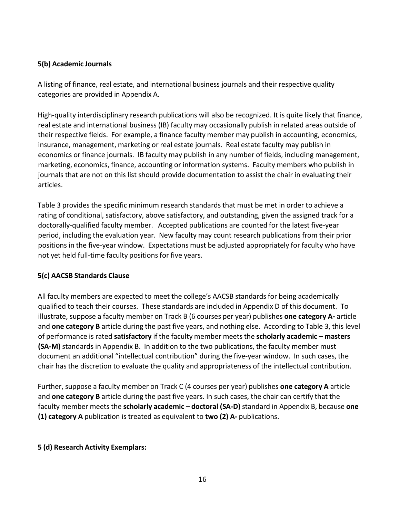#### **5(b) Academic Journals**

A listing of finance, real estate, and international business journals and their respective quality categories are provided in Appendix A.

High-quality interdisciplinary research publications will also be recognized. It is quite likely that finance, real estate and international business (IB) faculty may occasionally publish in related areas outside of their respective fields. For example, a finance faculty member may publish in accounting, economics, insurance, management, marketing or real estate journals. Real estate faculty may publish in economics or finance journals. IB faculty may publish in any number of fields, including management, marketing, economics, finance, accounting or information systems. Faculty members who publish in journals that are not on this list should provide documentation to assist the chair in evaluating their articles.

Table 3 provides the specific minimum research standards that must be met in order to achieve a rating of conditional, satisfactory, above satisfactory, and outstanding, given the assigned track for a doctorally-qualified faculty member. Accepted publications are counted for the latest five-year period, including the evaluation year. New faculty may count research publications from their prior positions in the five-year window. Expectations must be adjusted appropriately for faculty who have not yet held full-time faculty positions for five years.

### **5(c) AACSB Standards Clause**

All faculty members are expected to meet the college's AACSB standards for being academically qualified to teach their courses. These standards are included in Appendix D of this document. To illustrate, suppose a faculty member on Track B (6 courses per year) publishes **one category A-** article and **one category B** article during the past five years, and nothing else. According to Table 3, this level of performance is rated **satisfactory** if the faculty member meets the **scholarly academic – masters (SA-M)** standards in Appendix B. In addition to the two publications, the faculty member must document an additional "intellectual contribution" during the five-year window. In such cases, the chair has the discretion to evaluate the quality and appropriateness of the intellectual contribution.

Further, suppose a faculty member on Track C (4 courses per year) publishes **one category A** article and **one category B** article during the past five years. In such cases, the chair can certify that the faculty member meets the **scholarly academic – doctoral (SA-D)** standard in Appendix B, because **one (1) category A** publication is treated as equivalent to **two (2) A-** publications.

### **5 (d) Research Activity Exemplars:**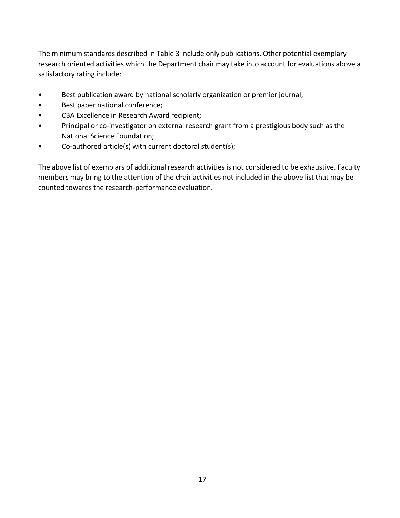The minimum standards described in Table 3 include only publications. Other potential exemplary research oriented activities which the Department chair may take into account for evaluations above a satisfactory rating include:

- Best publication award by national scholarly organization or premier journal;
- Best paper national conference;
- CBA Excellence in Research Award recipient;
- Principal or co-investigator on external research grant from a prestigious body such as the National Science Foundation;
- Co-authored article(s) with current doctoral student(s);

The above list of exemplars of additional research activities is not considered to be exhaustive. Faculty members may bring to the attention of the chair activities not included in the above list that may be counted towards the research-performance evaluation.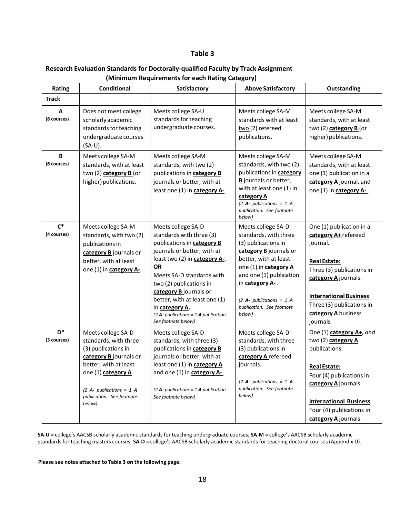#### **Table 3**

#### **Research Evaluation Standards for Doctorally-qualified Faculty by Track Assignment (Minimum Requirements for each Rating Category)**

| Rating               | Conditional                                                                                                                                                                                                       | Satisfactory                                                                                                                                                                                                                                                                                                                                                       | <b>Above Satisfactory</b>                                                                                                                                                                                                                                         | Outstanding                                                                                                                                                                                                                               |
|----------------------|-------------------------------------------------------------------------------------------------------------------------------------------------------------------------------------------------------------------|--------------------------------------------------------------------------------------------------------------------------------------------------------------------------------------------------------------------------------------------------------------------------------------------------------------------------------------------------------------------|-------------------------------------------------------------------------------------------------------------------------------------------------------------------------------------------------------------------------------------------------------------------|-------------------------------------------------------------------------------------------------------------------------------------------------------------------------------------------------------------------------------------------|
| <b>Track</b>         |                                                                                                                                                                                                                   |                                                                                                                                                                                                                                                                                                                                                                    |                                                                                                                                                                                                                                                                   |                                                                                                                                                                                                                                           |
| Α<br>(8 courses)     | Does not meet college<br>scholarly academic<br>standards for teaching<br>undergraduate courses<br>(SA-U).                                                                                                         | Meets college SA-U<br>standards for teaching<br>undergraduate courses.                                                                                                                                                                                                                                                                                             | Meets college SA-M<br>standards with at least<br>two (2) refereed<br>publications.                                                                                                                                                                                | Meets college SA-M<br>standards, with at least<br>two (2) category B (or<br>higher) publications.                                                                                                                                         |
| B<br>(6 courses)     | Meets college SA-M<br>standards, with at least<br>two (2) category B (or<br>higher) publications.                                                                                                                 | Meets college SA-M<br>standards, with two (2)<br>publications in category B<br>journals or better, with at<br>least one (1) in category A-.                                                                                                                                                                                                                        | Meets college SA-M<br>standards, with two (2)<br>publications in category<br><b>B</b> journals or better,<br>with at least one (1) in<br>category A.<br>(2 A- publications = $1$ A<br>publication. See footnote<br>below)                                         | Meets college SA-M<br>standards, with at least<br>one (1) publication in a<br>category A journal, and<br>one (1) in category A-.                                                                                                          |
| $C^*$<br>(4 courses) | Meets college SA-M<br>standards, with two (2)<br>publications in<br>category B journals or<br>better, with at least<br>one (1) in category A-.                                                                    | Meets college SA-D<br>standards with three (3)<br>publications in category B<br>journals or better, with at<br>least two (2) in category A-.<br>OR<br>Meets SA-D standards with<br>two (2) publications in<br>category B journals or<br>better, with at least one (1)<br>in category A.<br>$(2 \text{ A}$ - publications = 1 A publication.<br>See footnote below) | Meets college SA-D<br>standards, with three<br>(3) publications in<br>category B journals or<br>better, with at least<br>one (1) in category A<br>and one (1) publication<br>in category A-.<br>(2 A- publications = $1$ A<br>publication. See footnote<br>below) | One (1) publication in a<br>category A+ refereed<br>journal.<br><b>Real Estate:</b><br>Three (3) publications in<br>category Ajournals.<br><b>International Business</b><br>Three (3) publications in<br>category A business<br>journals. |
| $D^*$<br>(3 courses) | Meets college SA-D<br>standards, with three<br>(3) publications in<br>category B journals or<br>better, with at least<br>one (1) category A.<br>(2 A- publications = $1$ A<br>publication. See footnote<br>below) | Meets college SA-D<br>standards, with three (3)<br>publications in category B<br>journals or better, with at<br>least one (1) in category A<br>and one (1) in <b>category A-</b> .<br>(2 A- publications = $1$ A publication.<br>See footnote below)                                                                                                               | Meets college SA-D<br>standards, with three<br>(3) publications in<br>category A refereed<br>journals.<br>(2 A- publications = $1$ A<br>publication. See footnote<br>below)                                                                                       | One (1) category A+, and<br>two (2) category A<br>publications.<br><b>Real Estate:</b><br>Four (4) publications in<br>category Ajournals.<br><b>International Business</b><br>Four (4) publications in<br>category A journals.            |

**SA-U** = college's AACSB scholarly academic standards for teaching undergraduate courses; **SA-M** = college's AACSB scholarly academic standards for teaching masters courses; **SA-D** = college's AACSB scholarly academic standards for teaching doctoral courses(Appendix D).

**Please see notes attached to Table 3 on the following page.**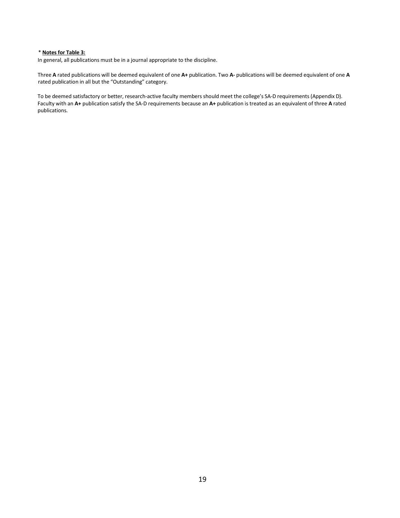#### \* **Notes for Table 3:**

In general, all publications must be in a journal appropriate to the discipline.

Three **A** rated publications will be deemed equivalent of one **A+** publication. Two **A-** publications will be deemed equivalent of one **A** rated publication in all but the "Outstanding" category.

To be deemed satisfactory or better, research-active faculty members should meet the college's SA-D requirements (Appendix D). Faculty with an **A+** publication satisfy the SA-D requirements because an **A+** publication is treated as an equivalent of three **A** rated publications.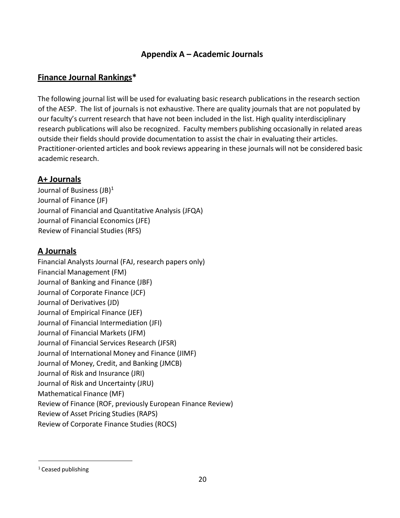### **Appendix A – Academic Journals**

### **Finance Journal Rankings\***

The following journal list will be used for evaluating basic research publications in the research section of the AESP. The list of journals is not exhaustive. There are quality journals that are not populated by our faculty's current research that have not been included in the list. High quality interdisciplinary research publications will also be recognized. Faculty members publishing occasionally in related areas outside their fields should provide documentation to assist the chair in evaluating their articles. Practitioner-oriented articles and book reviews appearing in these journals will not be considered basic academic research.

### **A+ Journals**

Journal of Business (JB)<sup>1</sup> Journal of Finance (JF) Journal of Financial and Quantitative Analysis (JFQA) Journal of Financial Economics (JFE) Review of Financial Studies (RFS)

### **A Journals**

Financial Analysts Journal (FAJ, research papers only) Financial Management (FM) Journal of Banking and Finance (JBF) Journal of Corporate Finance (JCF) Journal of Derivatives (JD) Journal of Empirical Finance (JEF) Journal of Financial Intermediation (JFI) Journal of Financial Markets (JFM) Journal of Financial Services Research (JFSR) Journal of International Money and Finance (JIMF) Journal of Money, Credit, and Banking (JMCB) Journal of Risk and Insurance (JRI) Journal of Risk and Uncertainty (JRU) Mathematical Finance (MF) Review of Finance (ROF, previously European Finance Review) Review of Asset Pricing Studies (RAPS) Review of Corporate Finance Studies (ROCS)

<span id="page-19-0"></span><sup>&</sup>lt;sup>1</sup> Ceased publishing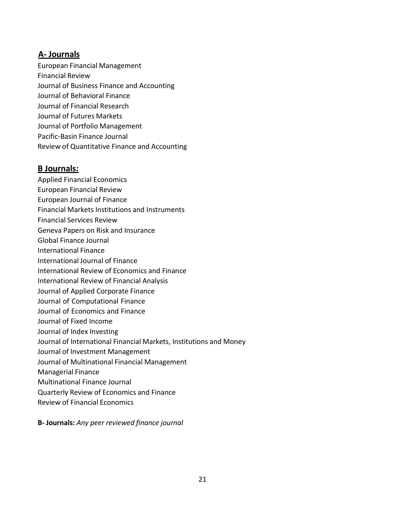### **A- Journals**

European Financial Management Financial Review Journal of Business Finance and Accounting Journal of Behavioral Finance Journal of Financial Research Journal of Futures Markets Journal of Portfolio Management Pacific-Basin Finance Journal Review of Quantitative Finance and Accounting

### **B Journals:**

- Applied Financial Economics
- European Financial Review
- European Journal of Finance
- Financial Markets Institutions and Instruments
- Financial Services Review
- Geneva Papers on Risk and Insurance
- Global Finance Journal
- International Finance
- International Journal of Finance
- International Review of Economics and Finance
- International Review of Financial Analysis
- Journal of Applied Corporate Finance
- Journal of Computational Finance
- Journal of Economics and Finance
- Journal of Fixed Income
- Journal of Index Investing
- Journal of International Financial Markets, Institutions and Money
- Journal of Investment Management
- Journal of Multinational Financial Management
- Managerial Finance
- Multinational Finance Journal
- Quarterly Review of Economics and Finance
- Review of Financial Economics

**B- Journals:** *Any peer reviewed finance journal*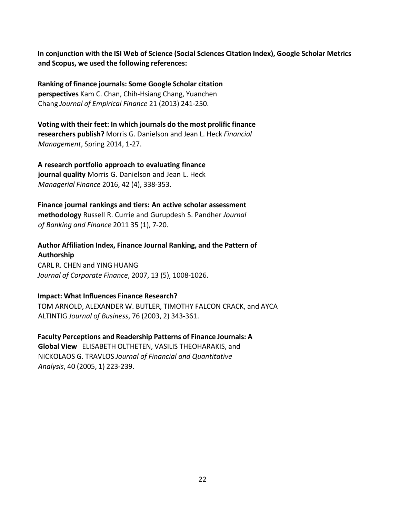**In conjunction with the ISI Web of Science (Social Sciences Citation Index), Google Scholar Metrics and Scopus, we used the following references:**

**Ranking of finance journals: Some Google Scholar citation perspectives** Kam C. Chan, Chih-Hsiang Chang, Yuanchen Chang *Journal of Empirical Finance* 21 (2013) 241-250.

**Voting with their feet: In which journals do the most prolific finance researchers publish?** Morris G. Danielson and Jean L. Heck *Financial Management*, Spring 2014, 1-27.

**A research portfolio approach to evaluating finance journal quality** Morris G. Danielson and Jean L. Heck *Managerial Finance* 2016, 42 (4), 338-353.

**Finance journal rankings and tiers: An active scholar assessment methodology** Russell R. Currie and Gurupdesh S. Pandher *Journal of Banking and Finance* 2011 35 (1), 7-20.

**Author Affiliation Index, Finance Journal Ranking, and the Pattern of Authorship** CARL R. CHEN and YING HUANG *Journal of Corporate Finance*, 2007, 13 (5), 1008-1026.

#### **Impact: What Influences Finance Research?**

TOM ARNOLD, ALEXANDER W. BUTLER, TIMOTHY FALCON CRACK, and AYCA ALTINTIG *Journal of Business*, 76 (2003, 2) 343-361.

**Faculty Perceptions and Readership Patterns of Finance Journals: A Global View** ELISABETH OLTHETEN, VASILIS THEOHARAKIS, and NICKOLAOS G. TRAVLOS *Journal of Financial and Quantitative Analysis*, 40 (2005, 1) 223-239.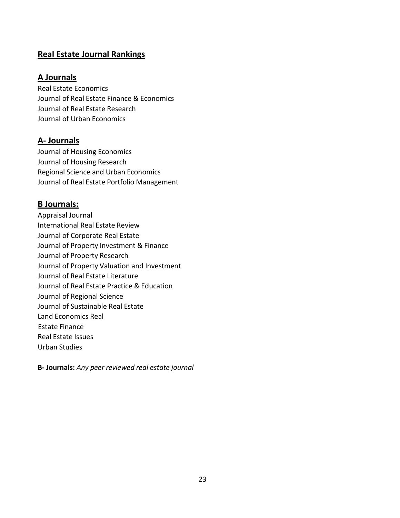### **Real Estate Journal Rankings**

### **A Journals**

Real Estate Economics Journal of Real Estate Finance & Economics Journal of Real Estate Research Journal of Urban Economics

### **A- Journals**

Journal of Housing Economics Journal of Housing Research Regional Science and Urban Economics Journal of Real Estate Portfolio Management

### **B Journals:**

Appraisal Journal International Real Estate Review Journal of Corporate Real Estate Journal of Property Investment & Finance Journal of Property Research Journal of Property Valuation and Investment Journal of Real Estate Literature Journal of Real Estate Practice & Education Journal of Regional Science Journal of Sustainable Real Estate Land Economics Real Estate Finance Real Estate Issues Urban Studies

**B- Journals:** *Any peer reviewed real estate journal*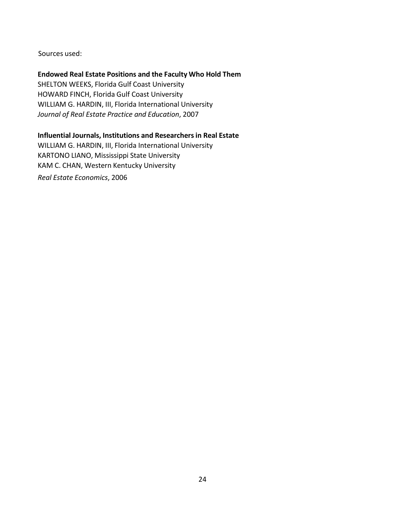Sources used:

#### **Endowed Real Estate Positions and the Faculty Who Hold Them**

SHELTON WEEKS, Florida Gulf Coast University HOWARD FINCH, Florida Gulf Coast University WILLIAM G. HARDIN, III, Florida International University *Journal of Real Estate Practice and Education*, 2007

#### **Influential Journals, Institutions and Researchersin Real Estate**

WILLIAM G. HARDIN, III, Florida International University KARTONO LIANO, Mississippi State University KAM C. CHAN, Western Kentucky University *Real Estate Economics*, 2006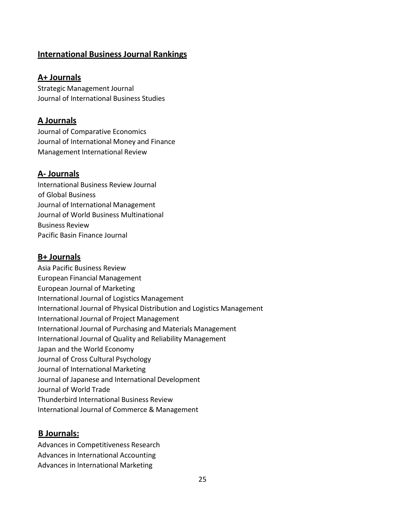### **International Business Journal Rankings**

### **A+ Journals**

Strategic Management Journal Journal of International Business Studies

### **A Journals**

Journal of Comparative Economics Journal of International Money and Finance Management International Review

### **A- Journals**

International Business Review Journal of Global Business Journal of International Management Journal of World Business Multinational Business Review Pacific Basin Finance Journal

### **B+ Journals**

Asia Pacific Business Review European Financial Management European Journal of Marketing International Journal of Logistics Management International Journal of Physical Distribution and Logistics Management International Journal of Project Management International Journal of Purchasing and Materials Management International Journal of Quality and Reliability Management Japan and the World Economy Journal of Cross Cultural Psychology Journal of International Marketing Journal of Japanese and International Development Journal of World Trade Thunderbird International Business Review International Journal of Commerce & Management

### **B Journals:**

Advances in Competitiveness Research Advances in International Accounting Advances in International Marketing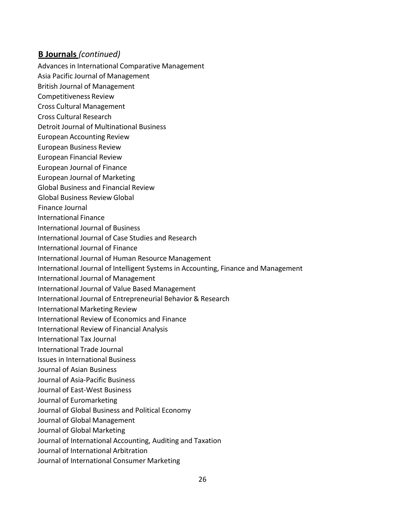### **B Journals** *(continued)*

- Advances in International Comparative Management
- Asia Pacific Journal of Management
- British Journal of Management
- Competitiveness Review
- Cross Cultural Management
- Cross Cultural Research
- Detroit Journal of Multinational Business
- European Accounting Review
- European Business Review
- European Financial Review
- European Journal of Finance
- European Journal of Marketing
- Global Business and Financial Review
- Global Business Review Global
- Finance Journal
- International Finance
- International Journal of Business
- International Journal of Case Studies and Research
- International Journal of Finance
- International Journal of Human Resource Management
- International Journal of Intelligent Systems in Accounting, Finance and Management
- International Journal of Management
- International Journal of Value Based Management
- International Journal of Entrepreneurial Behavior & Research
- International Marketing Review
- International Review of Economics and Finance
- International Review of Financial Analysis
- International Tax Journal
- International Trade Journal
- Issues in International Business
- Journal of Asian Business
- Journal of Asia-Pacific Business
- Journal of East-West Business
- Journal of Euromarketing
- Journal of Global Business and Political Economy
- Journal of Global Management
- Journal of Global Marketing
- Journal of International Accounting, Auditing and Taxation
- Journal of International Arbitration
- Journal of International Consumer Marketing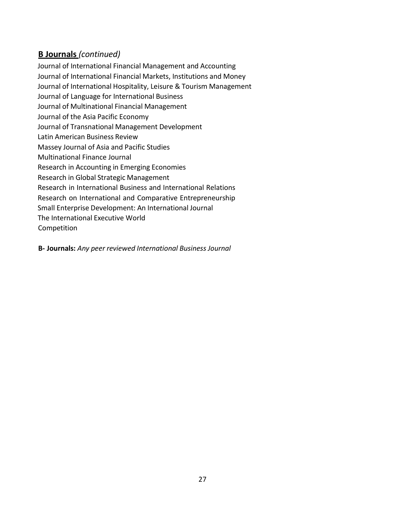### **B Journals** *(continued)*

Journal of International Financial Management and Accounting Journal of International Financial Markets, Institutions and Money Journal of International Hospitality, Leisure & Tourism Management Journal of Language for International Business Journal of Multinational Financial Management Journal of the Asia Pacific Economy Journal of Transnational Management Development Latin American Business Review Massey Journal of Asia and Pacific Studies Multinational Finance Journal Research in Accounting in Emerging Economies Research in Global Strategic Management Research in International Business and International Relations Research on International and Comparative Entrepreneurship Small Enterprise Development: An International Journal The International Executive World Competition

**B- Journals:** *Any peer reviewed International Business Journal*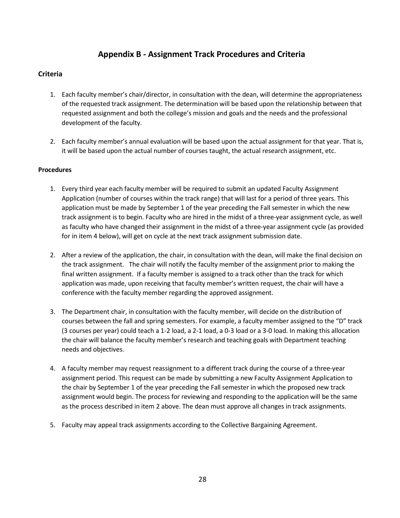### **Appendix B - Assignment Track Procedures and Criteria**

#### **Criteria**

- 1. Each faculty member's chair/director, in consultation with the dean, will determine the appropriateness of the requested track assignment. The determination will be based upon the relationship between that requested assignment and both the college's mission and goals and the needs and the professional development of the faculty.
- 2. Each faculty member's annual evaluation will be based upon the actual assignment for that year. That is, it will be based upon the actual number of courses taught, the actual research assignment, etc.

#### **Procedures**

- 1. Every third year each faculty member will be required to submit an updated Faculty Assignment Application (number of courses within the track range) that will last for a period of three years. This application must be made by September 1 of the year preceding the Fall semester in which the new track assignment is to begin. Faculty who are hired in the midst of a three-year assignment cycle, as well as faculty who have changed their assignment in the midst of a three-year assignment cycle (as provided for in item 4 below), will get on cycle at the next track assignment submission date.
- 2. After a review of the application, the chair, in consultation with the dean, will make the final decision on the track assignment. The chair will notify the faculty member of the assignment prior to making the final written assignment. If a faculty member is assigned to a track other than the track for which application was made, upon receiving that faculty member's written request, the chair will have a conference with the faculty member regarding the approved assignment.
- 3. The Department chair, in consultation with the faculty member, will decide on the distribution of courses between the fall and spring semesters. For example, a faculty member assigned to the "D" track (3 courses per year) could teach a 1-2 load, a 2-1 load, a 0-3 load or a 3-0 load. In making this allocation the chair will balance the faculty member's research and teaching goals with Department teaching needs and objectives.
- 4. A faculty member may request reassignment to a different track during the course of a three-year assignment period. This request can be made by submitting a new Faculty Assignment Application to the chair by September 1 of the year preceding the Fall semester in which the proposed new track assignment would begin. The process for reviewing and responding to the application will be the same as the process described in item 2 above. The dean must approve all changes in track assignments.
- 5. Faculty may appeal track assignments according to the Collective Bargaining Agreement.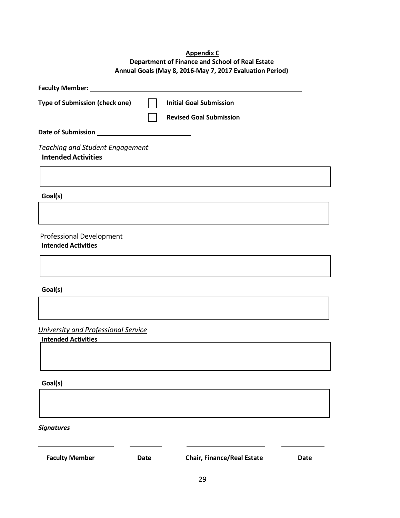#### **Appendix C Department of Finance and School of Real Estate Annual Goals (May 8, 2016-May 7, 2017 Evaluation Period)**

| Faculty Member: _                                             |             |                                   |             |
|---------------------------------------------------------------|-------------|-----------------------------------|-------------|
| <b>Type of Submission (check one)</b>                         |             | <b>Initial Goal Submission</b>    |             |
|                                                               |             | <b>Revised Goal Submission</b>    |             |
| Date of Submission                                            |             |                                   |             |
| <b>Teaching and Student Engagement</b>                        |             |                                   |             |
| <b>Intended Activities</b>                                    |             |                                   |             |
|                                                               |             |                                   |             |
| Goal(s)                                                       |             |                                   |             |
|                                                               |             |                                   |             |
| <b>Professional Development</b><br><b>Intended Activities</b> |             |                                   |             |
|                                                               |             |                                   |             |
| Goal(s)                                                       |             |                                   |             |
|                                                               |             |                                   |             |
| University and Professional Service                           |             |                                   |             |
| <b>Intended Activities</b>                                    |             |                                   |             |
|                                                               |             |                                   |             |
| Goal(s)                                                       |             |                                   |             |
|                                                               |             |                                   |             |
| <b>Signatures</b>                                             |             |                                   |             |
| <b>Faculty Member</b>                                         | <b>Date</b> | <b>Chair, Finance/Real Estate</b> | <b>Date</b> |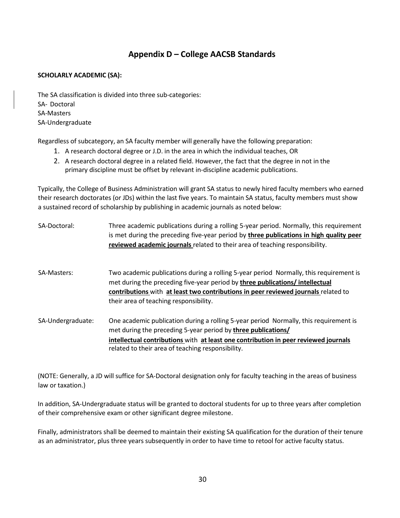### **Appendix D – College AACSB Standards**

#### **SCHOLARLY ACADEMIC (SA):**

The SA classification is divided into three sub-categories: SA- Doctoral SA-Masters SA-Undergraduate

Regardless of subcategory, an SA faculty member will generally have the following preparation:

- 1. A research doctoral degree or J.D. in the area in which the individual teaches, OR
- 2. A research doctoral degree in a related field. However, the fact that the degree in not in the primary discipline must be offset by relevant in-discipline academic publications.

Typically, the College of Business Administration will grant SA status to newly hired faculty members who earned their research doctorates (or JDs) within the last five years. To maintain SA status, faculty members must show a sustained record of scholarship by publishing in academic journals as noted below:

| SA-Doctoral:      | Three academic publications during a rolling 5-year period. Normally, this requirement<br>is met during the preceding five-year period by three publications in high quality peer<br>reviewed academic journals related to their area of teaching responsibility.                                       |
|-------------------|---------------------------------------------------------------------------------------------------------------------------------------------------------------------------------------------------------------------------------------------------------------------------------------------------------|
| SA-Masters:       | Two academic publications during a rolling 5-year period Normally, this requirement is<br>met during the preceding five-year period by three publications/ intellectual<br>contributions with at least two contributions in peer reviewed journals related to<br>their area of teaching responsibility. |
| SA-Undergraduate: | One academic publication during a rolling 5-year period Normally, this requirement is<br>met during the preceding 5-year period by three publications/<br>intellectual contributions with at least one contribution in peer reviewed journals<br>related to their area of teaching responsibility.      |

(NOTE: Generally, a JD will suffice for SA-Doctoral designation only for faculty teaching in the areas of business law or taxation.)

In addition, SA-Undergraduate status will be granted to doctoral students for up to three years after completion of their comprehensive exam or other significant degree milestone.

Finally, administrators shall be deemed to maintain their existing SA qualification for the duration of their tenure as an administrator, plus three years subsequently in order to have time to retool for active faculty status.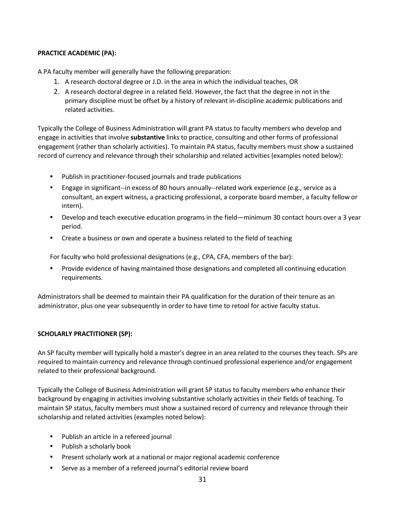#### **PRACTICE ACADEMIC (PA):**

A PA faculty member will generally have the following preparation:

- 1. A research doctoral degree or J.D. in the area in which the individual teaches, OR
- 2. A research doctoral degree in a related field. However, the fact that the degree in not in the primary discipline must be offset by a history of relevant in-discipline academic publications and related activities.

Typically the College of Business Administration will grant PA status to faculty members who develop and engage in activities that involve **substantive** links to practice, consulting and other forms of professional engagement (rather than scholarly activities). To maintain PA status, faculty members must show a sustained record of currency and relevance through their scholarship and related activities (examples noted below):

- Publish in practitioner-focused journals and trade publications
- Engage in significant--in excess of 80 hours annually--related work experience (e.g., service as a consultant, an expert witness, a practicing professional, a corporate board member, a faculty fellow or intern).
- Develop and teach executive education programs in the field—minimum 30 contact hours over a 3 year period.
- Create a business or own and operate a business related to the field of teaching

For faculty who hold professional designations (e.g., CPA, CFA, members of the bar):

• Provide evidence of having maintained those designations and completed all continuing education requirements.

Administrators shall be deemed to maintain their PA qualification for the duration of their tenure as an administrator, plus one year subsequently in order to have time to retool for active faculty status.

#### **SCHOLARLY PRACTITIONER (SP):**

An SP faculty member will typically hold a master's degree in an area related to the courses they teach. SPs are required to maintain currency and relevance through continued professional experience and/or engagement related to their professional background.

Typically the College of Business Administration will grant SP status to faculty members who enhance their background by engaging in activities involving substantive scholarly activities in their fields of teaching. To maintain SP status, faculty members must show a sustained record of currency and relevance through their scholarship and related activities (examples noted below):

- Publish an article in a refereed journal
- Publish a scholarly book
- Present scholarly work at a national or major regional academic conference
- Serve as a member of a refereed journal's editorial review board